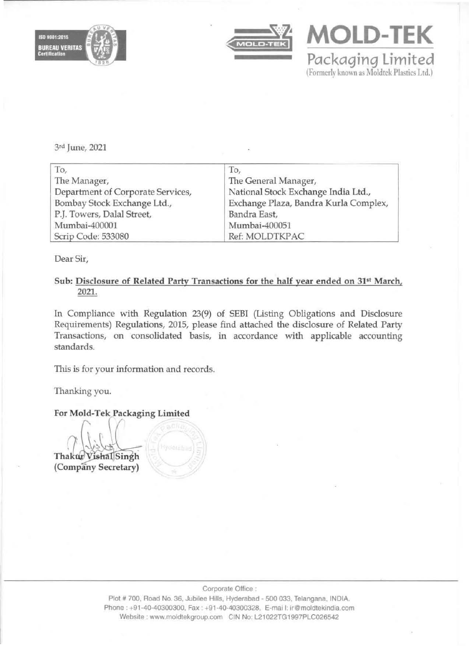





3rd June, 2021

| To,                               | To,                                   |  |  |  |
|-----------------------------------|---------------------------------------|--|--|--|
| The Manager,                      | The General Manager,                  |  |  |  |
| Department of Corporate Services, | National Stock Exchange India Ltd.,   |  |  |  |
| Bombay Stock Exchange Ltd.,       | Exchange Plaza, Bandra Kurla Complex, |  |  |  |
| P.J. Towers, Dalal Street,        | Bandra East,                          |  |  |  |
| Mumbai-400001                     | Mumbai-400051                         |  |  |  |
| Scrip Code: 533080                | Ref: MOLDTKPAC                        |  |  |  |

Dear Sir,

## Sub: Disclosure of Related Party Transactions for the half year ended on 31<sup>st</sup> March, 2021.

In Compliance with Regulation 23(9) of SEBI (Listing Obligations and Disclosure Requirements) Regulations, 2015, please find attached the disclosure of Related Party Transactions, on consolidated basis, in accordance with applicable accounting standards.

This is for your information and records.

Thanking you.

For Mold-Tek Packaging Limited

**Thakur Vishal** Singh (Company Secretary)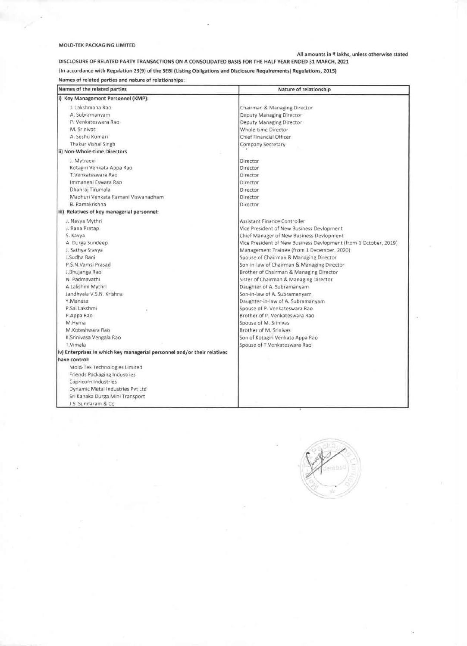## MOLO·TEK PACKAGING UMITED

## All amounts in  $\P$  lakhs, unless otherwise stated

DISCLOSURE OF RELATED PARTY TRANSACTIONS ON A CONSOLIDATED BASIS FOR THE HALF YEAR ENDED 31 MARCH, 2021 {In accordance with Regulation 23(9) of the SEBI (Listing Obligations and Disclosure Requirements) Regulations, 2015)

Names of related parties and nature of relationships:

| Names of the related parties                                             | Nature of relationship                                           |  |  |  |
|--------------------------------------------------------------------------|------------------------------------------------------------------|--|--|--|
| i) Key Management Personnel (KMP):                                       |                                                                  |  |  |  |
| J. Lakshmana Rao                                                         | Chairman & Managing Director                                     |  |  |  |
| A. Subramanyam                                                           | Deputy Managing Director                                         |  |  |  |
| P. Venkateswara Rao                                                      | Deputy Managing Director                                         |  |  |  |
| M. Srinivas                                                              | Whole-time Director                                              |  |  |  |
| A. Seshu Kumari                                                          | Chief Financial Officer                                          |  |  |  |
| Thakur Vishal Singh                                                      | Company Secretary                                                |  |  |  |
| ii) Non-Whole-time Directors                                             |                                                                  |  |  |  |
| J. Mytraevi                                                              | Director                                                         |  |  |  |
| Kotagiri Venkata Appa Rao                                                | Director                                                         |  |  |  |
| T.Venkateswara Rao                                                       | <b>Director</b>                                                  |  |  |  |
| Immaneni Eswara Rao                                                      | Director                                                         |  |  |  |
| Dhanraj Tirumala                                                         | Director                                                         |  |  |  |
| Madhuri Venkata Ramani Viswanadham                                       | Director                                                         |  |  |  |
| B. Ramakrishna                                                           | Director                                                         |  |  |  |
| iii) Relatives of key managerial personnel:                              |                                                                  |  |  |  |
| J. Navya Mythri                                                          | Assistant Finance Controller                                     |  |  |  |
| J. Rana Pratap                                                           | Vice President of New Business Devlopment                        |  |  |  |
| S. Kavya                                                                 | Chief Manager of New Business Devlopment                         |  |  |  |
| A. Durga Sundeep                                                         | Vice President of New Business Devlopment (from 1 October, 2019) |  |  |  |
| J. Sathya Sravya                                                         | Management Trainee (from 1 December, 2020)                       |  |  |  |
| J.Sudha Rani                                                             | Spouse of Chairman & Managing Director                           |  |  |  |
| P.S.N.Vamsi Prasad                                                       | Son-in-law of Chairman & Managing Director                       |  |  |  |
| J.Bhujanga Rao                                                           | Brother of Chairman & Managing Director                          |  |  |  |
| N. Padmavathi                                                            | Sister of Chairman & Managing Director                           |  |  |  |
| A.Lakshmi Mythri                                                         | Daughter of A. Subramanyam                                       |  |  |  |
| Jandhyala V.S.N. Krishna                                                 | Son-in-law of A. Subramanyam                                     |  |  |  |
| Y.Manasa                                                                 | Daughter-in-law of A. Subramanyam                                |  |  |  |
| P.Sai Lakshmi                                                            | Spouse of P. Venkateswara Rao                                    |  |  |  |
| P.Appa Rao                                                               | Brother of P. Venkateswara Rao                                   |  |  |  |
| M.Hyma                                                                   | Spouse of M. Srinivas                                            |  |  |  |
| M.Koteshwara Rao                                                         | Brother of M. Srinivas                                           |  |  |  |
| K.Srinivasa Vengala Rao                                                  | Son of Kotagiri Venkata Appa Rao                                 |  |  |  |
| T.Vimala                                                                 | Spouse of T.Venkateswara Rao                                     |  |  |  |
| iv) Enterprises in which key managerial personnel and/or their relatives |                                                                  |  |  |  |
| have control:                                                            |                                                                  |  |  |  |
| Mold-Tek Technologies Limited                                            |                                                                  |  |  |  |
| Friends Packaging Industries                                             |                                                                  |  |  |  |
| Capricorn Industries                                                     |                                                                  |  |  |  |
| Dynamic Metal Industries Pvt Ltd                                         |                                                                  |  |  |  |
| Sri Kanaka Durga Mini Transport                                          |                                                                  |  |  |  |
| J.S. Sundaram & Co.                                                      |                                                                  |  |  |  |